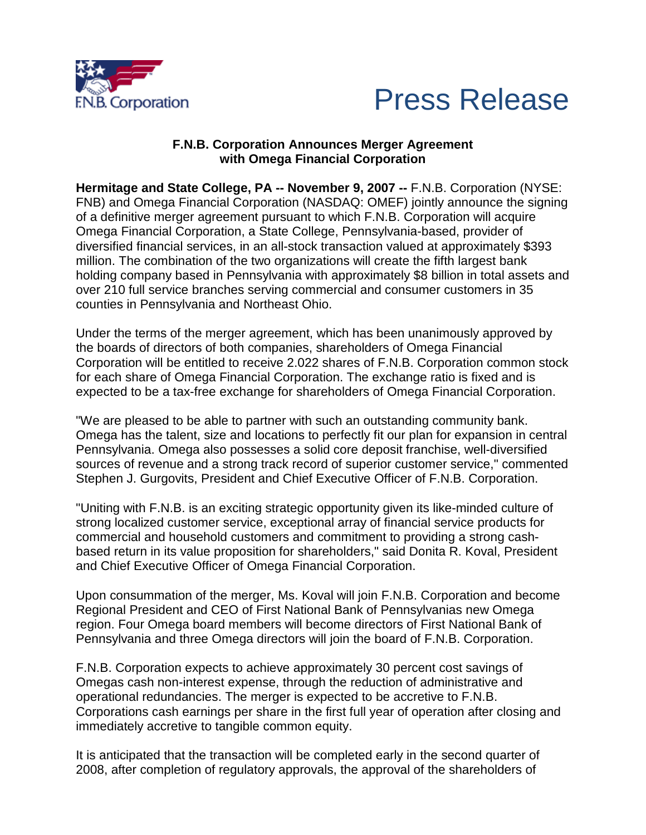



### **F.N.B. Corporation Announces Merger Agreement with Omega Financial Corporation**

**Hermitage and State College, PA -- November 9, 2007 --** F.N.B. Corporation (NYSE: FNB) and Omega Financial Corporation (NASDAQ: OMEF) jointly announce the signing of a definitive merger agreement pursuant to which F.N.B. Corporation will acquire Omega Financial Corporation, a State College, Pennsylvania-based, provider of diversified financial services, in an all-stock transaction valued at approximately \$393 million. The combination of the two organizations will create the fifth largest bank holding company based in Pennsylvania with approximately \$8 billion in total assets and over 210 full service branches serving commercial and consumer customers in 35 counties in Pennsylvania and Northeast Ohio.

Under the terms of the merger agreement, which has been unanimously approved by the boards of directors of both companies, shareholders of Omega Financial Corporation will be entitled to receive 2.022 shares of F.N.B. Corporation common stock for each share of Omega Financial Corporation. The exchange ratio is fixed and is expected to be a tax-free exchange for shareholders of Omega Financial Corporation.

"We are pleased to be able to partner with such an outstanding community bank. Omega has the talent, size and locations to perfectly fit our plan for expansion in central Pennsylvania. Omega also possesses a solid core deposit franchise, well-diversified sources of revenue and a strong track record of superior customer service," commented Stephen J. Gurgovits, President and Chief Executive Officer of F.N.B. Corporation.

"Uniting with F.N.B. is an exciting strategic opportunity given its like-minded culture of strong localized customer service, exceptional array of financial service products for commercial and household customers and commitment to providing a strong cashbased return in its value proposition for shareholders," said Donita R. Koval, President and Chief Executive Officer of Omega Financial Corporation.

Upon consummation of the merger, Ms. Koval will join F.N.B. Corporation and become Regional President and CEO of First National Bank of Pennsylvanias new Omega region. Four Omega board members will become directors of First National Bank of Pennsylvania and three Omega directors will join the board of F.N.B. Corporation.

F.N.B. Corporation expects to achieve approximately 30 percent cost savings of Omegas cash non-interest expense, through the reduction of administrative and operational redundancies. The merger is expected to be accretive to F.N.B. Corporations cash earnings per share in the first full year of operation after closing and immediately accretive to tangible common equity.

It is anticipated that the transaction will be completed early in the second quarter of 2008, after completion of regulatory approvals, the approval of the shareholders of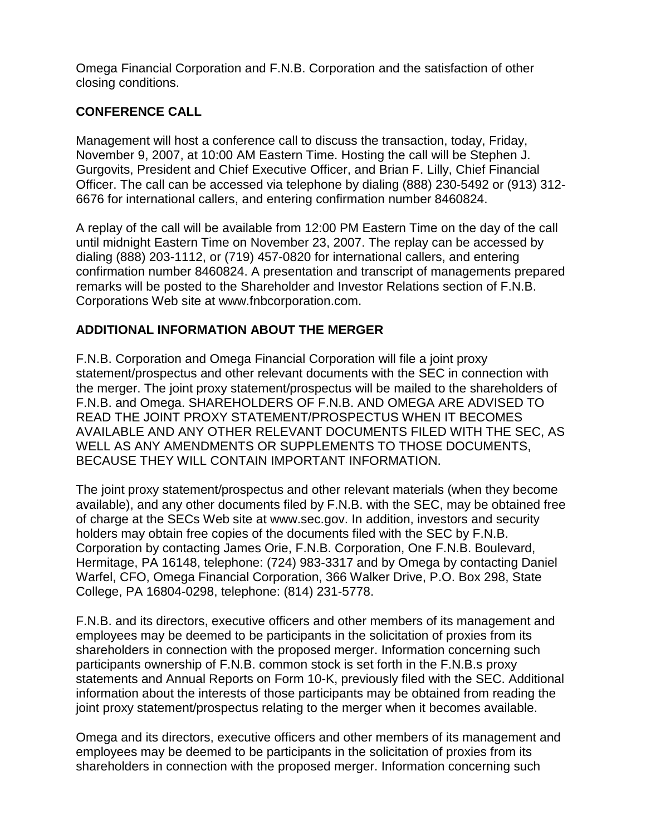Omega Financial Corporation and F.N.B. Corporation and the satisfaction of other closing conditions.

# **CONFERENCE CALL**

Management will host a conference call to discuss the transaction, today, Friday, November 9, 2007, at 10:00 AM Eastern Time. Hosting the call will be Stephen J. Gurgovits, President and Chief Executive Officer, and Brian F. Lilly, Chief Financial Officer. The call can be accessed via telephone by dialing (888) 230-5492 or (913) 312- 6676 for international callers, and entering confirmation number 8460824.

A replay of the call will be available from 12:00 PM Eastern Time on the day of the call until midnight Eastern Time on November 23, 2007. The replay can be accessed by dialing (888) 203-1112, or (719) 457-0820 for international callers, and entering confirmation number 8460824. A presentation and transcript of managements prepared remarks will be posted to the Shareholder and Investor Relations section of F.N.B. Corporations Web site at www.fnbcorporation.com.

## **ADDITIONAL INFORMATION ABOUT THE MERGER**

F.N.B. Corporation and Omega Financial Corporation will file a joint proxy statement/prospectus and other relevant documents with the SEC in connection with the merger. The joint proxy statement/prospectus will be mailed to the shareholders of F.N.B. and Omega. SHAREHOLDERS OF F.N.B. AND OMEGA ARE ADVISED TO READ THE JOINT PROXY STATEMENT/PROSPECTUS WHEN IT BECOMES AVAILABLE AND ANY OTHER RELEVANT DOCUMENTS FILED WITH THE SEC, AS WELL AS ANY AMENDMENTS OR SUPPLEMENTS TO THOSE DOCUMENTS, BECAUSE THEY WILL CONTAIN IMPORTANT INFORMATION.

The joint proxy statement/prospectus and other relevant materials (when they become available), and any other documents filed by F.N.B. with the SEC, may be obtained free of charge at the SECs Web site at www.sec.gov. In addition, investors and security holders may obtain free copies of the documents filed with the SEC by F.N.B. Corporation by contacting James Orie, F.N.B. Corporation, One F.N.B. Boulevard, Hermitage, PA 16148, telephone: (724) 983-3317 and by Omega by contacting Daniel Warfel, CFO, Omega Financial Corporation, 366 Walker Drive, P.O. Box 298, State College, PA 16804-0298, telephone: (814) 231-5778.

F.N.B. and its directors, executive officers and other members of its management and employees may be deemed to be participants in the solicitation of proxies from its shareholders in connection with the proposed merger. Information concerning such participants ownership of F.N.B. common stock is set forth in the F.N.B.s proxy statements and Annual Reports on Form 10-K, previously filed with the SEC. Additional information about the interests of those participants may be obtained from reading the joint proxy statement/prospectus relating to the merger when it becomes available.

Omega and its directors, executive officers and other members of its management and employees may be deemed to be participants in the solicitation of proxies from its shareholders in connection with the proposed merger. Information concerning such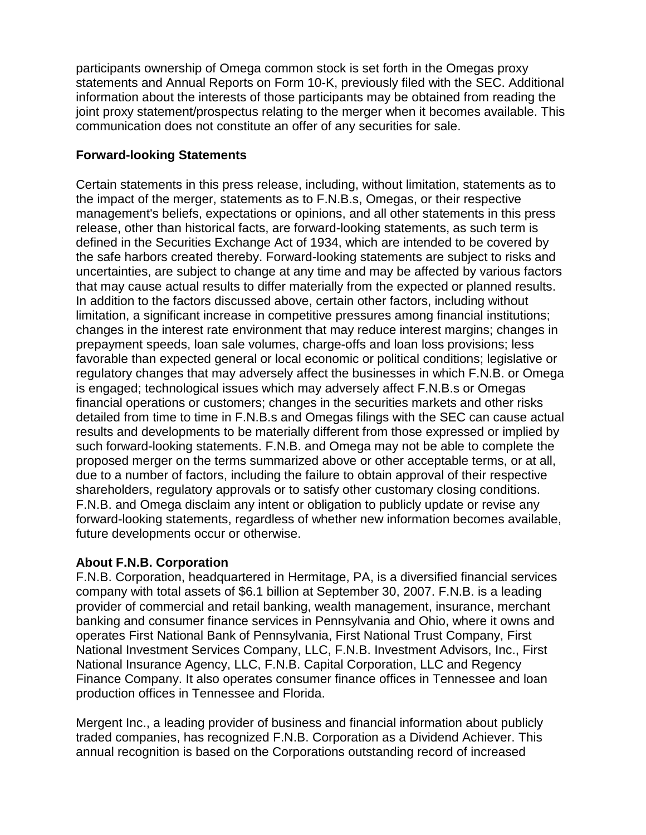participants ownership of Omega common stock is set forth in the Omegas proxy statements and Annual Reports on Form 10-K, previously filed with the SEC. Additional information about the interests of those participants may be obtained from reading the joint proxy statement/prospectus relating to the merger when it becomes available. This communication does not constitute an offer of any securities for sale.

# **Forward-looking Statements**

Certain statements in this press release, including, without limitation, statements as to the impact of the merger, statements as to F.N.B.s, Omegas, or their respective management's beliefs, expectations or opinions, and all other statements in this press release, other than historical facts, are forward-looking statements, as such term is defined in the Securities Exchange Act of 1934, which are intended to be covered by the safe harbors created thereby. Forward-looking statements are subject to risks and uncertainties, are subject to change at any time and may be affected by various factors that may cause actual results to differ materially from the expected or planned results. In addition to the factors discussed above, certain other factors, including without limitation, a significant increase in competitive pressures among financial institutions; changes in the interest rate environment that may reduce interest margins; changes in prepayment speeds, loan sale volumes, charge-offs and loan loss provisions; less favorable than expected general or local economic or political conditions; legislative or regulatory changes that may adversely affect the businesses in which F.N.B. or Omega is engaged; technological issues which may adversely affect F.N.B.s or Omegas financial operations or customers; changes in the securities markets and other risks detailed from time to time in F.N.B.s and Omegas filings with the SEC can cause actual results and developments to be materially different from those expressed or implied by such forward-looking statements. F.N.B. and Omega may not be able to complete the proposed merger on the terms summarized above or other acceptable terms, or at all, due to a number of factors, including the failure to obtain approval of their respective shareholders, regulatory approvals or to satisfy other customary closing conditions. F.N.B. and Omega disclaim any intent or obligation to publicly update or revise any forward-looking statements, regardless of whether new information becomes available, future developments occur or otherwise.

### **About F.N.B. Corporation**

F.N.B. Corporation, headquartered in Hermitage, PA, is a diversified financial services company with total assets of \$6.1 billion at September 30, 2007. F.N.B. is a leading provider of commercial and retail banking, wealth management, insurance, merchant banking and consumer finance services in Pennsylvania and Ohio, where it owns and operates First National Bank of Pennsylvania, First National Trust Company, First National Investment Services Company, LLC, F.N.B. Investment Advisors, Inc., First National Insurance Agency, LLC, F.N.B. Capital Corporation, LLC and Regency Finance Company. It also operates consumer finance offices in Tennessee and loan production offices in Tennessee and Florida.

Mergent Inc., a leading provider of business and financial information about publicly traded companies, has recognized F.N.B. Corporation as a Dividend Achiever. This annual recognition is based on the Corporations outstanding record of increased